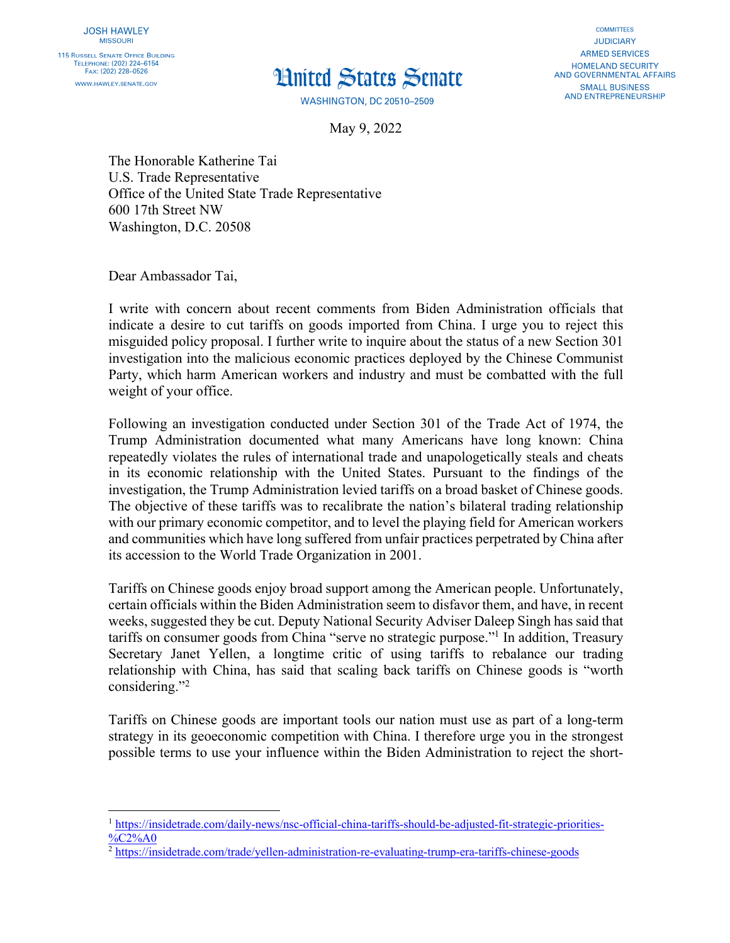## **H**uited States Senate

**COMMITTEES JUDICIARY ARMED SERVICES HOMELAND SECURITY** AND GOVERNMENTAL AFFAIRS **SMALL BUSINESS AND ENTREPRENEURSHIP** 

**WASHINGTON, DC 20510-2509** 

May 9, 2022

The Honorable Katherine Tai U.S. Trade Representative Office of the United State Trade Representative 600 17th Street NW Washington, D.C. 20508

Dear Ambassador Tai,

I write with concern about recent comments from Biden Administration officials that indicate a desire to cut tariffs on goods imported from China. I urge you to reject this misguided policy proposal. I further write to inquire about the status of a new Section 301 investigation into the malicious economic practices deployed by the Chinese Communist Party, which harm American workers and industry and must be combatted with the full weight of your office.

Following an investigation conducted under Section 301 of the Trade Act of 1974, the Trump Administration documented what many Americans have long known: China repeatedly violates the rules of international trade and unapologetically steals and cheats in its economic relationship with the United States. Pursuant to the findings of the investigation, the Trump Administration levied tariffs on a broad basket of Chinese goods. The objective of these tariffs was to recalibrate the nation's bilateral trading relationship with our primary economic competitor, and to level the playing field for American workers and communities which have long suffered from unfair practices perpetrated by China after its accession to the World Trade Organization in 2001.

Tariffs on Chinese goods enjoy broad support among the American people. Unfortunately, certain officials within the Biden Administration seem to disfavor them, and have, in recent weeks, suggested they be cut. Deputy National Security Adviser Daleep Singh has said that tariffs on consumer goods from China "serve no strategic purpose."1 In addition, Treasury Secretary Janet Yellen, a longtime critic of using tariffs to rebalance our trading relationship with China, has said that scaling back tariffs on Chinese goods is "worth considering."<sup>2</sup>

Tariffs on Chinese goods are important tools our nation must use as part of a long-term strategy in its geoeconomic competition with China. I therefore urge you in the strongest possible terms to use your influence within the Biden Administration to reject the short-

<sup>1</sup> https://insidetrade.com/daily-news/nsc-official-china-tariffs-should-be-adjusted-fit-strategic-priorities- %C<sub>2%A0</sub>

<sup>2</sup> https://insidetrade.com/trade/yellen-administration-re-evaluating-trump-era-tariffs-chinese-goods